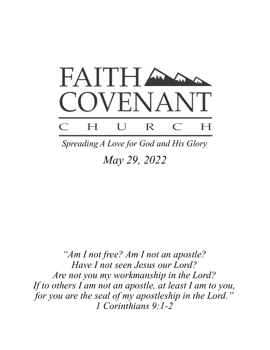

*May 29, 2022 Spreading A Love for God and His Glory*

*"Am I not free? Am I not an apostle? Have I not seen Jesus our Lord? Are not you my workmanship in the Lord? If to others I am not an apostle, at least I am to you, for you are the seal of my apostleship in the Lord." 1 Corinthians 9:1-2*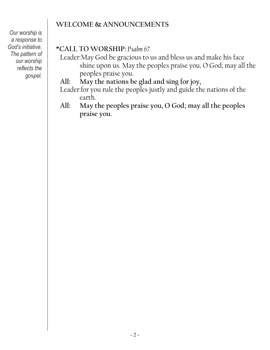## **WELCOME & ANNOUNCEMENTS**

*Our worship is a response to God's initiative. The pattern of our worship reflects the go*s*pel.*

# **\*CALL TO WORSHIP:** *Psalm 67*

- Leader:May God be gracious to us and bless us and make his face shine upon us. May the peoples praise you, O God; may all the peoples praise you.
- **All: May the nations be glad and sing for joy,**
- Leader:for you rule the peoples justly and guide the nations of the earth.
- **All: May the peoples praise you, O God; may all the peoples praise you.**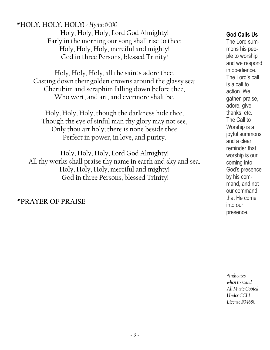**\*HOLY, HOLY, HOLY!** *-Hymn #100* Holy, Holy, Holy, Lord God Almighty! Early in the morning our song shall rise to thee; Holy, Holy, Holy, merciful and mighty! God in three Persons, blessed Trinity!

Holy, Holy, Holy, all the saints adore thee, Casting down their golden crowns around the glassy sea; Cherubim and seraphim falling down before thee, Who wert, and art, and evermore shalt be.

Holy, Holy, Holy, though the darkness hide thee, Though the eye of sinful man thy glory may not see, Only thou art holy; there is none beside thee Perfect in power, in love, and purity.

Holy, Holy, Holy, Lord God Almighty! All thy works shall praise thy name in earth and sky and sea. Holy, Holy, Holy, merciful and mighty! God in three Persons, blessed Trinity!

**\*PRAYER OF PRAISE** 

#### **God Calls Us**

The Lord summons his people to worship and we respond in obedience. The Lord's call is a call to action. We gather, praise, adore, give thanks, etc. The Call to Worship is a joyful summons and a clear reminder that worship is our coming into God's presence by his command, and not our command that He come into our presence.

*\*Indicates when to stand. All Music Copied Under CCLI License #34680*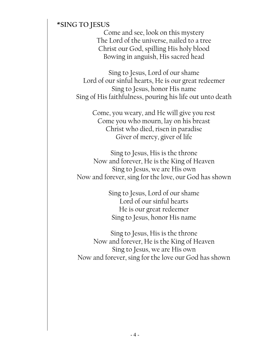## **\*SING TO JESUS**

Come and see, look on this mystery The Lord of the universe, nailed to a tree Christ our God, spilling His holy blood Bowing in anguish, His sacred head

Sing to Jesus, Lord of our shame Lord of our sinful hearts, He is our great redeemer Sing to Jesus, honor His name Sing of His faithfulness, pouring his life out unto death

> Come, you weary, and He will give you rest Come you who mourn, lay on his breast Christ who died, risen in paradise Giver of mercy, giver of life

Sing to Jesus, His is the throne Now and forever, He is the King of Heaven Sing to Jesus, we are His own Now and forever, sing for the love, our God has shown

> Sing to Jesus, Lord of our shame Lord of our sinful hearts He is our great redeemer Sing to Jesus, honor His name

Sing to Jesus, His is the throne Now and forever, He is the King of Heaven Sing to Jesus, we are His own Now and forever, sing for the love our God has shown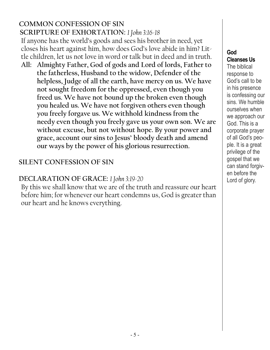# **COMMON CONFESSION OF SIN SCRIPTURE OF EXHORTATION:** *1 John 3:16-18*

If anyone has the world's goods and sees his brother in need, yet closes his heart against him, how does God's love abide in him? Little children, let us not love in word or talk but in deed and in truth.

**All: Almighty Father, God of gods and Lord of lords, Father to the fatherless, Husband to the widow, Defender of the helpless, Judge of all the earth, have mercy on us. We have not sought freedom for the oppressed, even though you freed us. We have not bound up the broken even though you healed us. We have not forgiven others even though you freely forgave us. We withhold kindness from the needy even though you freely gave us your own son. We are without excuse, but not without hope. By your power and grace, account our sins to Jesus' bloody death and amend our ways by the power of his glorious resurrection.**

## **SILENT CONFESSION OF SIN**

#### **DECLARATION OF GRACE:** *1 John 3:19-20*

By this we shall know that we are of the truth and reassure our heart before him; for whenever our heart condemns us, God is greater than our heart and he knows everything.

#### **God Cleanses Us**

The biblical response to God's call to be in his presence is confessing our sins. We humble ourselves when we approach our God. This is a corporate prayer of all God's people. It is a great privilege of the gospel that we can stand forgiven before the Lord of glory.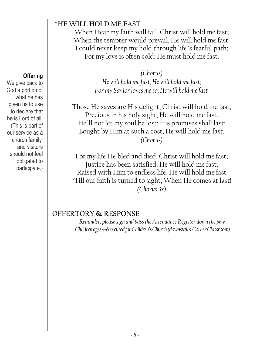## \***HE WILL HOLD ME FAST**

When I fear my faith will fail, Christ will hold me fast; When the tempter would prevail, He will hold me fast. I could never keep my hold through life's fearful path; For my love is often cold; He must hold me fast.

> *(Chorus) He will hold me fast, He will hold me fast; For my Savior loves me so, He will hold me fast.*

Those He saves are His delight, Christ will hold me fast; Precious in his holy sight, He will hold me fast. He'll not let my soul be lost; His promises shall last; Bought by Him at such a cost, He will hold me fast. *(Chorus)*

For my life He bled and died, Christ will hold me fast; Justice has been satisfied; He will hold me fast. Raised with Him to endless life, He will hold me fast ʻTill our faith is turned to sight, When He comes at last! *(Chorus 3x)*

## **OFFERTORY & RESPONSE**

*Reminder: please sign and pass the Attendance Register down the pew. Children ages 4-6 excused for Children's Church (downstairs Corner Classroom)*

#### **Offering**

We give back to God a portion of what he has given us to use to declare that he is Lord of all. (This is part of our service as a church family, and visitors should not feel obligated to participate.)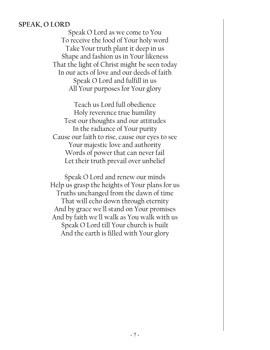#### **SPEAK, O LORD**

Speak O Lord as we come to You To receive the food of Your holy word Take Your truth plant it deep in us Shape and fashion us in Your likeness That the light of Christ might be seen today In our acts of love and our deeds of faith Speak O Lord and fulfill in us All Your purposes for Your glory

Teach us Lord full obedience Holy reverence true humility Test our thoughts and our attitudes In the radiance of Your purity Cause our faith to rise, cause our eyes to see Your majestic love and authority Words of power that can never fail Let their truth prevail over unbelief

Speak O Lord and renew our minds Help us grasp the heights of Your plans for us Truths unchanged from the dawn of time That will echo down through eternity And by grace we'll stand on Your promises And by faith we'll walk as You walk with us Speak O Lord till Your church is built And the earth is filled with Your glory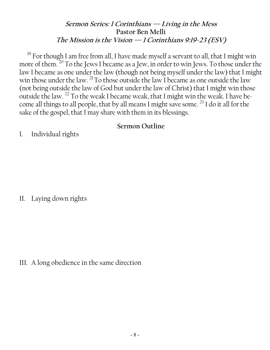## **Sermon Series: 1 Corinthians — Living in the Mess Pastor Ben Melli The Mission is the Vision — 1 Corinthians 9:19-23 (ESV)**

<sup>19</sup> For though I am free from all, I have made myself a servant to all, that I might win more of them.<sup>20</sup> To the Jews I became as a Jew, in order to win Jews. To those under the law I became as one under the law (though not being myself under the law) that I might win those under the law. <sup>21</sup> To those outside the law I became as one outside the law (not being outside the law of God but under the law of Christ) that I might win those outside the law. <sup>22</sup> To the weak I became weak, that I might win the weak. I have become all things to all people, that by all means I might save some.<sup>23</sup> I do it all for the sake of the gospel, that I may share with them in its blessings.

#### **Sermon Outline**

I. Individual rights

II. Laying down rights

III. A long obedience in the same direction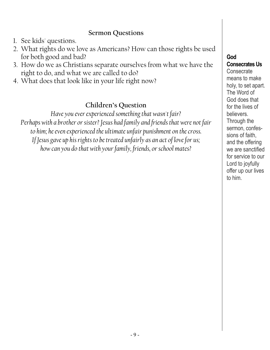#### **Sermon Questions**

- 1. See kids' questions.
- 2. What rights do we love as Americans? How can those rights be used for both good and bad?
- 3. How do we as Christians separate ourselves from what we have the right to do, and what we are called to do?
- 4. What does that look like in your life right now?

# **Children's Question**

*Have you ever experienced something that wasn't fair? Perhaps with a brother or sister? Jesus had family and friends that were not fair to him; he even experienced the ultimate unfair punishment on the cross. If Jesus gave up his rights to be treated unfairly as an act of love for us; how can you do that with your family, friends, or school mates?*

# **God**

**Consecrates Us Consecrate** means to make holy, to set apart. The Word of God does that for the lives of believers. Through the sermon, confessions of faith, and the offering we are sanctified for service to our Lord to joyfully offer up our lives to him.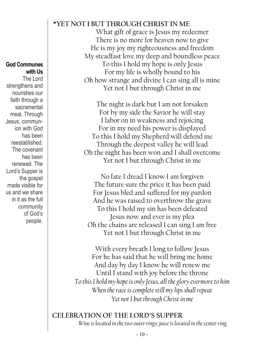#### **\*YET NOT I BUT THROUGH CHRIST IN ME**

What gift of grace is Jesus my redeemer There is no more for heaven now to give He is my joy my righteousness and freedom My steadfast love my deep and boundless peace To this I hold my hope is only Jesus For my life is wholly bound to his Oh how strange and divine I can sing all is mine Yet not I but through Christ in me

The night is dark but I am not forsaken For by my side the Savior he will stay I labor on in weakness and rejoicing For in my need his power is displayed To this I hold my Shepherd will defend me Through the deepest valley he will lead Oh the night has been won and I shall overcome Yet not I but through Christ in me

No fate I dread I know I am forgiven The future sure the price it has been paid For Jesus bled and suffered for my pardon And he was raised to overthrow the grave To this I hold my sin has been defeated Jesus now and ever is my plea Oh the chains are released I can sing I am free Yet not I but through Christ in me

With every breath I long to follow Jesus For he has said that he will bring me home And day by day I know he will renew me Until I stand with joy before the throne *To this I hold my hope is only Jesus, all the glory evermore to him When the race is complete still my lips shall repeat Yet not I but through Christ in me*

# **CELEBRATION OF THE LORD'S SUPPER**

*Wine is located in the two outer rings; juice is located in the center ring.*

#### **God Communes with Us**

The Lord strengthens and nourishes our faith through a sacramental meal. Through Jesus, communion with God has been reestablished. The covenant has been renewed. The Lord's Supper is the gospel made visible for us and we share in it as the full community of God's people.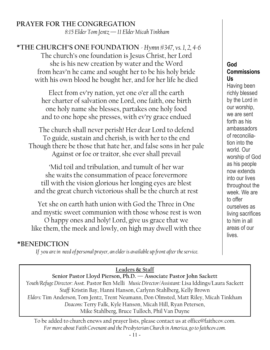#### **PRAYER FOR THE CONGREGATION** *8:15 Elder Tom Jentz —11 Elder Micah Tinkham*

**\*THE CHURCH'S ONE FOUNDATION** *- Hymn #347, vs. 1, 2, 4-6* The church's one foundation is Jesus Christ, her Lord she is his new creation by water and the Word from heav'n he came and sought her to be his holy bride with his own blood he bought her, and for her life he died

> Elect from ev'ry nation, yet one o'er all the earth her charter of salvation one Lord, one faith, one birth one holy name she blesses, partakes one holy food and to one hope she presses, with ev'ry grace endued

The church shall never perish! Her dear Lord to defend To guide, sustain and cherish, is with her to the end Though there be those that hate her, and false sons in her pale Against or foe or traitor, she ever shall prevail

'Mid toil and tribulation, and tumult of her war she waits the consummation of peace forevermore till with the vision glorious her longing eyes are blest and the great church victorious shall be the church at rest

Yet she on earth hath union with God the Three in One and mystic sweet communion with those whose rest is won O happy ones and holy! Lord, give us grace that we like them, the meek and lowly, on high may dwell with thee

## **\*BENEDICTION**

*If you are in need of personal prayer, an elder is available up front after the service.*

#### **God Commissions Us**

Having been richly blessed by the Lord in our worship, we are sent forth as his ambassadors of reconciliation into the world. Our worship of God as his people now extends into our lives throughout the week. We are to offer ourselves as living sacrifices to him in all areas of our lives.

## **Leaders & Staff**

**Senior Pastor Lloyd Pierson, Ph.D. — Associate Pastor John Sackett** *Youth/Refuge Director:* Asst. Pastor Ben Melli *Music Director/Assistant:* Lisa Iddings/Laura Sackett *Staff:* Kristin Bay, Hanni Hanson, Carlynn Stahlberg, Kelly Brown *Elders:* Tim Anderson*,* Tom Jentz, Trent Neumann, Don Olmsted, Matt Riley, Micah Tinkham *Deacons:* Terry Falk, Kyle Hanson, Micah Hill, Ryan Petersen, Mike Stahlberg, Bruce Tulloch, Phil Van Duyne

To be added to church enews and prayer lists, please contact us at office@faithcov.com. *For more about Faith Covenant and the Presbyterian Church in America, go to faithcov.com.*